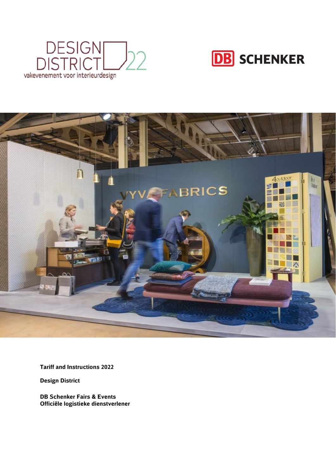





**Tariff and Instructions 2022**

**Design District**

**DB Schenker Fairs & Events Officiële logistieke dienstverlener**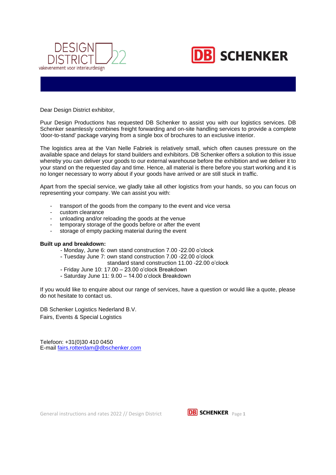



Dear Design District exhibitor,

Puur Design Productions has requested DB Schenker to assist you with our logistics services. DB Schenker seamlessly combines freight forwarding and on-site handling services to provide a complete 'door-to-stand' package varying from a single box of brochures to an exclusive interior.

The logistics area at the Van Nelle Fabriek is relatively small, which often causes pressure on the available space and delays for stand builders and exhibitors. DB Schenker offers a solution to this issue whereby you can deliver your goods to our external warehouse before the exhibition and we deliver it to your stand on the requested day and time. Hence, all material is there before you start working and it is no longer necessary to worry about if your goods have arrived or are still stuck in traffic.

Apart from the special service, we gladly take all other logistics from your hands, so you can focus on representing your company. We can assist you with:

- transport of the goods from the company to the event and vice versa
- custom clearance
- unloading and/or reloading the goods at the venue
- temporary storage of the goods before or after the event
- storage of empty packing material during the event

#### **Built up and breakdown:**

- Monday, June 6: own stand construction 7.00 -22.00 o'clock
- Tuesday June 7: own stand construction 7.00 -22.00 o'clock
	- standard stand construction 11.00 -22.00 o'clock
- Friday June 10: 17.00 23.00 o'clock Breakdown
- Saturday June 11: 9.00 14.00 o'clock Breakdown

If you would like to enquire about our range of services, have a question or would like a quote, please do not hesitate to contact us.

DB Schenker Logistics Nederland B.V. Fairs, Events & Special Logistics

Telefoon: +31(0)30 410 0450 E-mail [fairs.rotterdam@dbschenker.com](mailto:fairs.rotterdam@dbschenker.com)

General instructions and rates 2022 // Design District **DB SCHENKER** Page 1

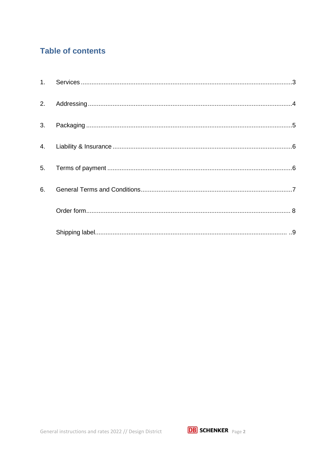# **Table of contents**

| 2. |  |
|----|--|
| 3. |  |
| 4. |  |
| 5. |  |
| 6. |  |
|    |  |
|    |  |

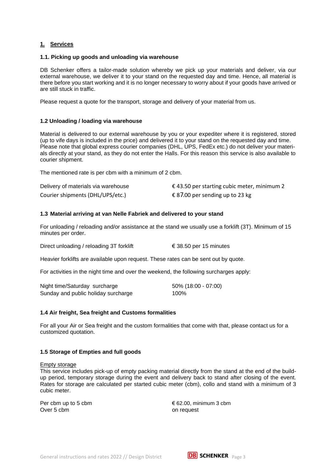# <span id="page-3-0"></span>**1. Services**

# **1.1. Picking up goods and unloading via warehouse**

DB Schenker offers a tailor-made solution whereby we pick up your materials and deliver, via our external warehouse, we deliver it to your stand on the requested day and time. Hence, all material is there before you start working and it is no longer necessary to worry about if your goods have arrived or are still stuck in traffic.

Please request a quote for the transport, storage and delivery of your material from us.

# **1.2 Unloading / loading via warehouse**

Material is delivered to our external warehouse by you or your expediter where it is registered, stored (up to vife days is included in the price) and delivered it to your stand on the requested day and time. Please note that global express courier companies (DHL, UPS, FedEx etc.) do not deliver your materials directly at your stand, as they do not enter the Halls. For this reason this service is also available to courier shipment.

The mentioned rate is per cbm with a minimum of 2 cbm.

| Delivery of materials via warehouse | € 43.50 per starting cubic meter, minimum 2 |
|-------------------------------------|---------------------------------------------|
| Courier shipments (DHL/UPS/etc.)    | € 87.00 per sending up to 23 kg             |

# **1.3 Material arriving at van Nelle Fabriek and delivered to your stand**

For unloading / reloading and/or assistance at the stand we usually use a forklift (3T). Minimum of 15 minutes per order.

Direct unloading / reloading 3T for klift  $\epsilon$  38.50 per 15 minutes

Heavier forklifts are available upon request. These rates can be sent out by quote.

For activities in the night time and over the weekend, the following surcharges apply:

| Night time/Saturday surcharge       | 50% (18:00 - 07:00) |
|-------------------------------------|---------------------|
| Sunday and public holiday surcharge | 100%                |

# **1.4 Air freight, Sea freight and Customs formalities**

For all your Air or Sea freight and the custom formalities that come with that, please contact us for a customized quotation.

# **1.5 Storage of Empties and full goods**

Empty storage

This service includes pick-up of empty packing material directly from the stand at the end of the buildup period, temporary storage during the event and delivery back to stand after closing of the event. Rates for storage are calculated per started cubic meter (cbm), collo and stand with a minimum of 3 cubic meter.

Over 5 cbm on request

Per cbm up to 5 cbm  $\epsilon$  62.00, minimum 3 cbm

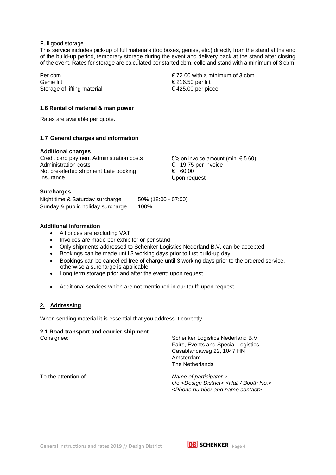# Full good storage

This service includes pick-up of full materials (toolboxes, genies, etc.) directly from the stand at the end of the build-up period, temporary storage during the event and delivery back at the stand after closing of the event. Rates for storage are calculated per started cbm, collo and stand with a minimum of 3 cbm.

Per cbm Genie lift Storage of lifting material  $\epsilon$  72.00 with a minimum of 3 cbm € 216.50 per lift € 425.00 per piece

# **1.6 Rental of material & man power**

Rates are available per quote.

# **1.7 General charges and information**

# **Additional charges**

Credit card payment Administration costs Administration costs Not pre-alerted shipment Late booking **Insurance** 

5% on invoice amount (min.  $\in$  5.60) € 19.75 per invoice € 60.00 Upon request

# **Surcharges**

Night time & Saturday surcharge 50% (18:00 - 07:00) Sunday & public holiday surcharge 100%

# **Additional information**

- All prices are excluding VAT
- Invoices are made per exhibitor or per stand
- Only shipments addressed to Schenker Logistics Nederland B.V. can be accepted
- Bookings can be made until 3 working days prior to first build-up day
- Bookings can be cancelled free of charge until 3 working days prior to the ordered service, otherwise a surcharge is applicable
- Long term storage prior and after the event: upon request
- Additional services which are not mentioned in our tariff: upon request

# **2. Addressing**

When sending material it is essential that you address it correctly:

# **2.1 Road transport and courier shipment**

Consignee: Schenker Logistics Nederland B.V. Fairs, Events and Special Logistics Casablancaweg 22, 1047 HN Amsterdam The Netherlands

To the attention of: *Name of participator >*  c/o <*Design District> <Hall / Booth No.> <Phone number and name contact>*

General instructions and rates 2019 // Design District **DB SCHENKER**  $_{Page 4}$ 

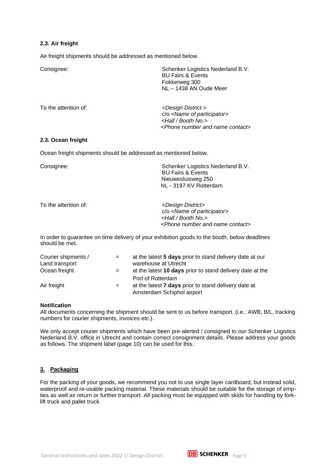# **2.3. Air freight**

Air freight shipments should be addressed as mentioned below.

| Consignee:           | Schenker Logistics Nederland B.V.<br><b>BU Fairs &amp; Events</b><br>Fokkerweg 300<br>NL - 1438 AN Oude Meer                                                        |  |
|----------------------|---------------------------------------------------------------------------------------------------------------------------------------------------------------------|--|
| To the attention of: | <design district=""><br/>c/o <name of="" participator=""><br/><hall booth="" no.=""><br/><phone and="" contact="" name="" number=""></phone></hall></name></design> |  |

# **2.3. Ocean freight**

Ocean freight shipments should be addressed as mentioned below.

| Consignee:           | Schenker Logistics Nederland B.V.<br><b>BU Fairs &amp; Events</b><br>Nieuwesluisweg 250<br>NL - 3197 KV Rotterdam                                                   |  |  |
|----------------------|---------------------------------------------------------------------------------------------------------------------------------------------------------------------|--|--|
| To the attention of: | <design district=""><br/>c/o <name of="" participator=""><br/><hall booth="" no.=""><br/><phone and="" contact="" name="" number=""></phone></hall></name></design> |  |  |

In order to guarantee on time delivery of your exhibition goods to the booth, below deadlines should be met.

| Courier shipments / | $=$ | at the latest 5 days prior to stand delivery date at our                                  |
|---------------------|-----|-------------------------------------------------------------------------------------------|
| Land transport      |     | warehouse at Utrecht                                                                      |
| Ocean freight       | $=$ | at the latest 10 days prior to stand delivery date at the                                 |
|                     |     | Port of Rotterdam                                                                         |
| Air freight         | $=$ | at the latest <b>7 days</b> prior to stand delivery date at<br>Amsterdam Schiphol airport |

#### **Notification**

All documents concerning the shipment should be sent to us before transport. (i.e.: AWB, B/L, tracking numbers for courier shipments, invoices etc.).

We only accept courier shipments which have been pre-alerted / consigned to our Schenker Logistics Nederland B.V. office in Utrecht and contain correct consignment details. Please address your goods as follows. The shipment label (page 10) can be used for this.

# **3. Packaging**

For the packing of your goods, we recommend you not to use single layer cardboard, but instead solid, waterproof and re-usable packing material. These materials should be suitable for the storage of empties as well as return or further transport. All packing must be equipped with skids for handling by forklift truck and pallet truck.

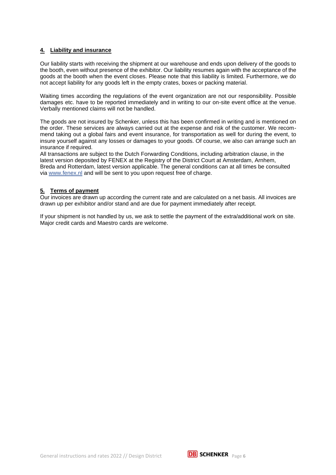# **4. Liability and insurance**

Our liability starts with receiving the shipment at our warehouse and ends upon delivery of the goods to the booth, even without presence of the exhibitor. Our liability resumes again with the acceptance of the goods at the booth when the event closes. Please note that this liability is limited. Furthermore, we do not accept liability for any goods left in the empty crates, boxes or packing material.

Waiting times according the regulations of the event organization are not our responsibility. Possible damages etc. have to be reported immediately and in writing to our on-site event office at the venue. Verbally mentioned claims will not be handled.

The goods are not insured by Schenker, unless this has been confirmed in writing and is mentioned on the order. These services are always carried out at the expense and risk of the customer. We recommend taking out a global fairs and event insurance, for transportation as well for during the event, to insure yourself against any losses or damages to your goods. Of course, we also can arrange such an insurance if required.

All transactions are subject to the Dutch Forwarding Conditions, including arbitration clause, in the latest version deposited by FENEX at the Registry of the District Court at Amsterdam, Arnhem, Breda and Rotterdam, latest version applicable. The general conditions can at all times be consulted via [www.fenex.nl](http://www.fenex.nl/) and will be sent to you upon request free of charge.

# **5. Terms of payment**

Our invoices are drawn up according the current rate and are calculated on a net basis. All invoices are drawn up per exhibitor and/or stand and are due for payment immediately after receipt.

If your shipment is not handled by us, we ask to settle the payment of the extra/additional work on site. Major credit cards and Maestro cards are welcome.

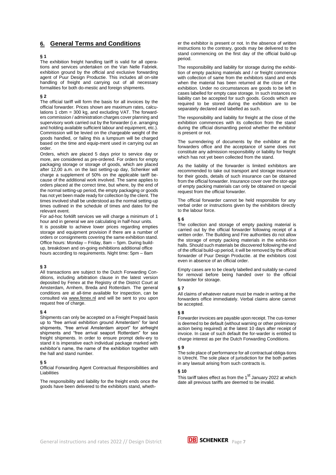# <span id="page-7-0"></span>**6. General Terms and Conditions**

#### **§ 1**

The exhibition freight handling tariff is valid for all operations and services undertaken on the Van Nelle Fabriek. exhibition ground by the official and exclusive forwarding agent of Puur Design Productie. This includes all on-site handling of freight and carrying out of all necessary formalities for both do-mestic and foreign shipments.

#### **§ 2**

The official tariff will form the basis for all invoices by the official forwarder. Prices shown are maximum rates, calculations 1 cbm = 300 kg, and excluding VAT. The forwarders commission / administration charges cover planning and supervisory work carried out by the forwarder (i.e. arranging and holding available sufficient labour and equipment, etc.). Commission will be levied on the chargeable weight of the goods handled, or failing this a lumpsum will be charged based on the time and equip-ment used in carrying out an order.

Orders, which are placed 5 days prior to service day or more, are considered as pre-ordered. For orders for empty packaging storage or storage of goods, which are placed after 12,00 a.m. on the last setting-up day, Schenker will charge a supplement of 50% on the applicable tariff because of the additional work involved. The same applies to orders placed at the correct time, but where, by the end of the normal setting-up period, the empty packaging or goods has not yet been made ready for collection by the client. The times involved shall be understood as the normal setting-up times outlined in the schedule of times and dates for the relevant event.

For ad-hoc forklift services we will charge a minimum of 1 hour and in general we are calculating in half-hour units. It is possible to achieve lower prices regarding empties storage and equipment provision if there are a number of orders or consignments covering the same exhibition stand. Office hours: Monday – Friday, 8am – 5pm. During buildup, breakdown and on-going exhibitions additional office hours according to requirements. Night time: 5pm – 8am

#### **§ 3**

All transactions are subject to the Dutch Forwarding Conditions, including arbitration clause in the latest version deposited by Fenex at the Registry of the District Court at Amsterdam, Arnhem, Breda and Rotterdam. The general conditions are at all-time available for inspection, can be consulted via www.fenex.nl and will be sent to you upon request free of charge.

#### **§ 4**

Shipments can only be accepted on a Freight Prepaid basis up to "free arrival exhibition ground Amsterdam" for land shipments, "free arrival Amsterdam airport" for airfreight shipments and "free arrival seaport Rotterdam" for sea freight shipments. In order to ensure prompt deliv-ery to stand it is imperative each individual package marked with exhibitor's name, the name of the exhibition together with the hall and stand number.

#### **§ 5**

Official Forwarding Agent Contractual Responsibilities and Liabilities

The responsibility and liability for the freight ends once the goods have been delivered to the exhibitors stand, whether the exhibitor is present or not. In the absence of written instructions to the contrary, goods may be delivered to the stand commencing on the first day of the official build-up period.

The responsibility and liability for storage during the exhibition of empty packing materials and / or freight commence with collection of same from the exhibitors stand and ends when the material has been returned at the close of the exhibition. Under no circumstances are goods to be left in cases labelled for empty case storage. In such instances no liability can be accepted for such goods. Goods which are required to be stored during the exhibition are to be separately declared and labelled as such.

The responsibility and liability for freight at the close of the exhibition commences with its collection from the stand during the official dismantling period whether the exhibitor is present or not.

The surrendering of documents by the exhibitor at the forwarders office and the acceptance of same does not constitute any admission responsibility or liability for freight which has not yet been collected from the stand.

As the liability of the forwarder is limited exhibitors are recommended to take out transport and storage insurance for their goods, details of such insurance can be obtained from the official forwarder. Insurance cover over the stor-age of empty packing materials can only be obtained on special request from the official forwarder.

The official forwarder cannot be held responsible for any verbal order or instructions given by the exhibitors directly to the labour force.

#### **§ 6**

The collection and storage of empty packing material is carried out by the official forwarder following receipt of a written order. The Building and Fire authorities do not allow the storage of empty packing materials in the exhibi-tion halls. Should such materials be discovered following the end of the official build-up period, it will be removed by the official forwarder of Puur Design Productie. at the exhibitors cost even in absence of an official order.

Empty cases are to be clearly labelled and suitably se-cured for removal before being handed over to the official forwarder for storage.

#### **§ 7**

All claims of whatever nature must be made in writing at the forwarders office immediately. Verbal claims alone cannot be accepted.

#### **§ 8**

Forwarder invoices are payable upon receipt. The cus-tomer is deemed to be default (without warning or other preliminary action being required) at the latest 10 days after receipt of invoice. In case of such default the for-warder is entitled to charge interest as per the Dutch Forwarding Conditions.

#### **§ 9**

The sole place of performance for all contractual obliga-tions is Utrecht. The sole place of jurisdiction for the both parties in any lawsuit arising from such contracts is.

#### **§ 10**

This tariff takes effect as from the 1<sup>st</sup> January 2022 at which date all previous tariffs are deemed to be invalid.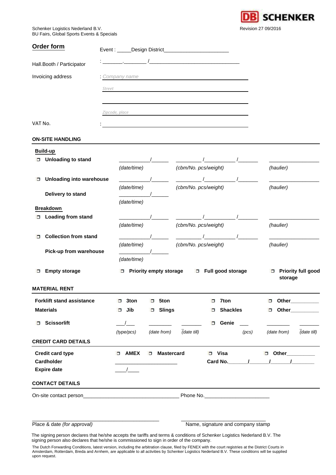**SCHENKER** Revision 27 09/2016

Schenker Logistics Nederland B.V. BU Fairs, Global Sports Events & Specials

<span id="page-8-0"></span>

| Order form                                           |                                      | Event: _____Design District___________________________                                                                                                                                                                                                                                                             |                                                                 |
|------------------------------------------------------|--------------------------------------|--------------------------------------------------------------------------------------------------------------------------------------------------------------------------------------------------------------------------------------------------------------------------------------------------------------------|-----------------------------------------------------------------|
| Hall.Booth / Participator                            |                                      |                                                                                                                                                                                                                                                                                                                    |                                                                 |
| Invoicing address                                    |                                      | Company name                                                                                                                                                                                                                                                                                                       |                                                                 |
|                                                      | Street                               |                                                                                                                                                                                                                                                                                                                    |                                                                 |
|                                                      |                                      |                                                                                                                                                                                                                                                                                                                    |                                                                 |
|                                                      | Zipcode, place                       |                                                                                                                                                                                                                                                                                                                    |                                                                 |
| VAT No.                                              |                                      |                                                                                                                                                                                                                                                                                                                    |                                                                 |
| <b>ON-SITE HANDLING</b>                              |                                      |                                                                                                                                                                                                                                                                                                                    |                                                                 |
| <b>Build-up</b>                                      |                                      |                                                                                                                                                                                                                                                                                                                    |                                                                 |
| □ Unloading to stand                                 |                                      | $\sqrt{2}$                                                                                                                                                                                                                                                                                                         |                                                                 |
|                                                      | (date/time)                          | (cbm/No. pcs/weight)                                                                                                                                                                                                                                                                                               | (haulier)                                                       |
| <b>Unloading into warehouse</b><br>□                 |                                      |                                                                                                                                                                                                                                                                                                                    |                                                                 |
| Delivery to stand                                    | (date/time)                          | (cbm/No. pcs/weight)                                                                                                                                                                                                                                                                                               | (haulier)                                                       |
|                                                      | (date/time)                          |                                                                                                                                                                                                                                                                                                                    |                                                                 |
| <b>Breakdown</b><br><b>D</b> Loading from stand      |                                      |                                                                                                                                                                                                                                                                                                                    |                                                                 |
|                                                      | (date/time)                          | (cbm/No. pcs/weight)                                                                                                                                                                                                                                                                                               | (haulier)                                                       |
| <b>Collection from stand</b><br>$\Box$               |                                      | $\sqrt{2}$ $\sqrt{2}$ $\sqrt{2}$ $\sqrt{2}$ $\sqrt{2}$ $\sqrt{2}$ $\sqrt{2}$ $\sqrt{2}$ $\sqrt{2}$ $\sqrt{2}$ $\sqrt{2}$ $\sqrt{2}$ $\sqrt{2}$ $\sqrt{2}$ $\sqrt{2}$ $\sqrt{2}$ $\sqrt{2}$ $\sqrt{2}$ $\sqrt{2}$ $\sqrt{2}$ $\sqrt{2}$ $\sqrt{2}$ $\sqrt{2}$ $\sqrt{2}$ $\sqrt{2}$ $\sqrt{2}$ $\sqrt{2}$ $\sqrt{2$ |                                                                 |
|                                                      | (date/time)                          | (cbm/No. pcs/weight)                                                                                                                                                                                                                                                                                               | (haulier)                                                       |
| Pick-up from warehouse                               | (date/time)                          |                                                                                                                                                                                                                                                                                                                    |                                                                 |
| <b>Empty storage</b><br>□                            |                                      | □ Priority empty storage □ Full good storage                                                                                                                                                                                                                                                                       | □ Priority full good                                            |
| <b>MATERIAL RENT</b>                                 |                                      |                                                                                                                                                                                                                                                                                                                    | storage                                                         |
|                                                      |                                      |                                                                                                                                                                                                                                                                                                                    |                                                                 |
| <b>Forklift stand assistance</b><br><b>Materials</b> | 3ton<br>$\Box$<br>o<br>Jib<br>□<br>□ | 5ton<br>7ton<br>o<br><b>Slings</b><br>□                                                                                                                                                                                                                                                                            | Other_________<br>σ<br><b>Shackles</b><br>Other___________<br>□ |
|                                                      |                                      |                                                                                                                                                                                                                                                                                                                    |                                                                 |
| <b>Scissorlift</b><br>$\Box$                         | (type/pcs)                           | $\Box$<br>(date from)<br>(date till)                                                                                                                                                                                                                                                                               | Genie<br>(date from)<br>$\overline{$ (date till)<br>(pcs)       |
| <b>CREDIT CARD DETAILS</b>                           |                                      |                                                                                                                                                                                                                                                                                                                    |                                                                 |
| <b>Credit card type</b>                              | D AMEX<br>□                          | <b>Mastercard</b><br>D Visa                                                                                                                                                                                                                                                                                        | Other__________<br>$\Box$                                       |
| Cardholder                                           |                                      |                                                                                                                                                                                                                                                                                                                    |                                                                 |
| <b>Expire date</b>                                   |                                      |                                                                                                                                                                                                                                                                                                                    |                                                                 |
| <b>CONTACT DETAILS</b>                               |                                      |                                                                                                                                                                                                                                                                                                                    |                                                                 |
|                                                      |                                      | Phone No.                                                                                                                                                                                                                                                                                                          |                                                                 |
|                                                      |                                      |                                                                                                                                                                                                                                                                                                                    |                                                                 |
|                                                      |                                      |                                                                                                                                                                                                                                                                                                                    |                                                                 |
| Place & date (for approval)                          |                                      |                                                                                                                                                                                                                                                                                                                    | Name, signature and company stamp                               |

The signing person declares that he/she accepts the tariffs and terms & conditions of Schenker Logistics Nederland B.V. The signing person also declares that he/she is commissioned to sign in order of the company.

The Dutch Forwarding Conditions, latest version, including the arbitration clause, filed by FENEX with the court registries at the District Courts in<br>Amsterdam, Rotterdam, Breda and Arnhem, are applicable to all activities upon request.